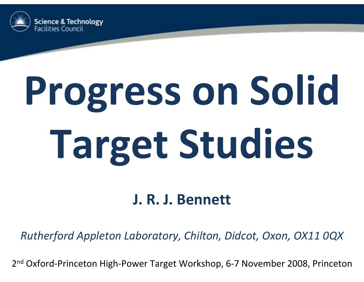

# **Progress on Solid Target Studies**

#### **J. R. J. Bennett**

*Rutherford Appleton Laboratory, Chilton, Didcot, Oxon, OX11 0QX*

2<sup>nd</sup> Oxford-Princeton High-Power Target Workshop, 6-7 November 2008, Princeton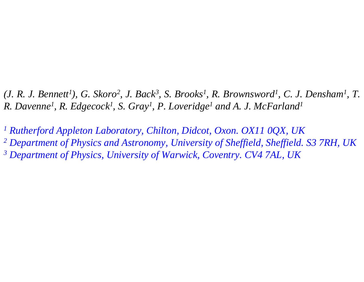*(J. R. J. Bennett1), G. Skoro2, J. Back3, S. Brooks1, R. Brownsword1, C. J. Densham1, T. R. Davenne1, R. Edgecock1, S. Gray1, P. Loveridge1 and A. J. McFarland1*

*1 Rutherford Appleton Laboratory, Chilton, Didcot, Oxon. OX11 0QX, UK 2 Department of Physics and Astronomy, University of Sheffield, Sheffield. S3 7RH, UK 3 Department of Physics, University of Warwick, Coventry. CV4 7AL, UK*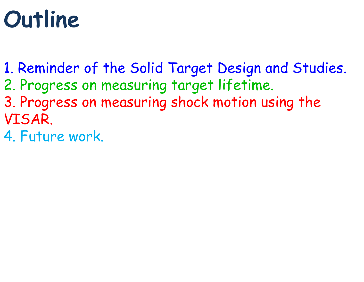## **Outline**

- 1. Reminder of the Solid Target Design and Studies.
- 2. Progress on measuring target lifetime.
- 3. Progress on measuring shock motion using the VISAR.
- 4. Future work.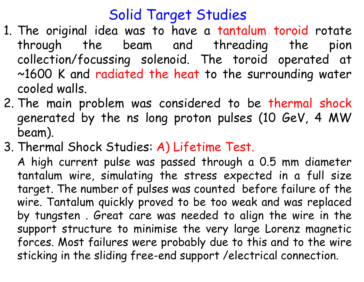#### Solid Target Studies

- 1. The original idea was to have a tantalum toroid rotate through the beam and threading the pion collection/focussing solenoid. The toroid operated at ~1600 K and radiated the heat to the surrounding water cooled walls.
- 2. The main problem was considered to be thermal shock generated by the ns long proton pulses (10 GeV, 4 MW beam).
- 3. Thermal Shock Studies: A) Lifetime Test.

A high current pulse was passed through a 0.5 mm diameter tantalum wire, simulating the stress expected in a full size target. The number of pulses was counted before failure of the wire. Tantalum quickly proved to be too weak and was replaced by tungsten . Great care was needed to align the wire in the support structure to minimise the very large Lorenz magnetic forces. Most failures were probably due to this and to the wire sticking in the sliding free-end support /electrical connection.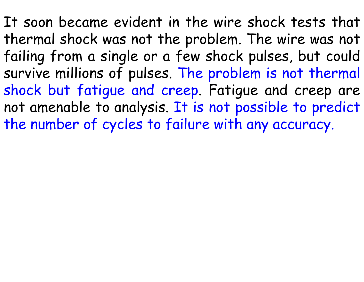It soon became evident in the wire shock tests that thermal shock was not the problem. The wire was not failing from a single or a few shock pulses, but could survive millions of pulses. The problem is not thermal shock but fatigue and creep. Fatigue and creep are not amenable to analysis. It is not possible to predict the number of cycles to failure with any accuracy.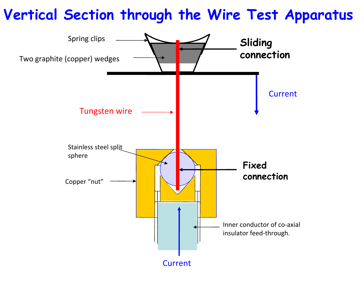#### **Vertical Section through the Wire Test Apparatus**

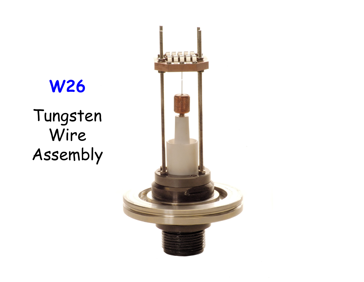

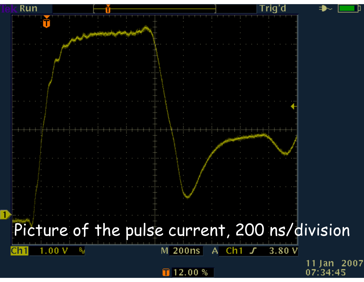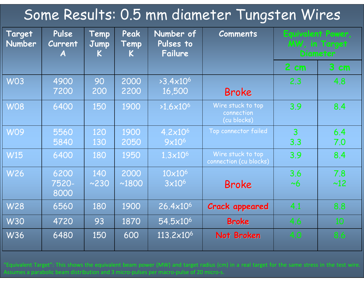#### Some Results: 0.5 mm diameter Tungsten Wires

| Target<br><b>Number</b> | Pulse<br><b>Current</b><br>$\boldsymbol{A}$ | Temp<br><b>Jump</b><br>K. | Peak<br>Temp<br>K | Number of<br>Pulses to<br>Failure   | <b>Comments</b>                                | Equivalent Power,<br>MW, in Target<br><b>Diameter</b> |            |
|-------------------------|---------------------------------------------|---------------------------|-------------------|-------------------------------------|------------------------------------------------|-------------------------------------------------------|------------|
|                         |                                             |                           |                   |                                     |                                                | $2$ cm.                                               | 3 cm       |
| <b>W03</b>              | 4900<br>7200                                | 90<br>200                 | 2000<br>2200      | $>3.4\times10^{6}$<br>16,500        | <b>Broke</b>                                   | 2.3                                                   | 4.8        |
| <b>W08</b>              | 6400                                        | 150                       | 1900              | $>1.6\times10^{6}$                  | Wire stuck to top<br>connection<br>(cu blocks) | 3.9                                                   | 8.4        |
| <b>W09</b>              | 5560<br>5840                                | 120<br>130                | 1900<br>2050      | $4.2 \times 10^{6}$<br>$9x10^6$     | Top connector failed                           | $\overline{3}$<br>3.3                                 | 6.4<br>7.0 |
| <b>W15</b>              | 6400                                        | 180                       | 1950              | $1.3\times10^6$                     | Wire stuck to top<br>connection (cu blocks)    | 3.9                                                   | 8.4        |
| <b>W26</b>              | 6200<br>7520-<br>8000                       | 140<br>~230               | 2000<br>~1800     | 10×10 <sup>6</sup><br>$3\times10^6$ | <b>Broke</b>                                   | 3.6<br>~10                                            | 7.8<br>~12 |
| <b>W28</b>              | 6560                                        | 180                       | 1900              | $26.4 \times 10^{6}$                | <b>Crack appeared</b>                          | 4.1                                                   | 8.8        |
| <b>W30</b>              | 4720                                        | 93                        | 1870              | 54.5×10 <sup>6</sup>                | <b>Broke</b>                                   | 4.6                                                   | 10         |
| <b>W36</b>              | 6480                                        | 150                       | 600               | $113.2\times10^{6}$                 | Not Broken                                     | 4.0                                                   | 8.6        |

"Equivalent Target": This shows the equivalent beam power (MW) and target radius (cm) in <sup>a</sup> real target for the same stress in the test wire. Assumes a parabolic beam distribution and 3 micro‐pulses per macro‐pulse of 20 micro‐s.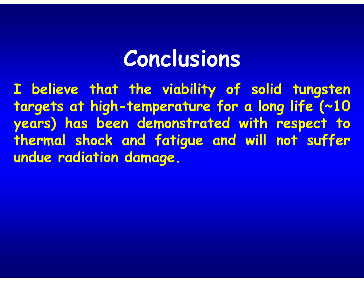### **Conclusions**

**I believe that the viability of solid tungsten targets at high-temperature for a long life (~10 years) has been demonstrated with respect to thermal shock and fatigue and will not suffer undue radiation damage.**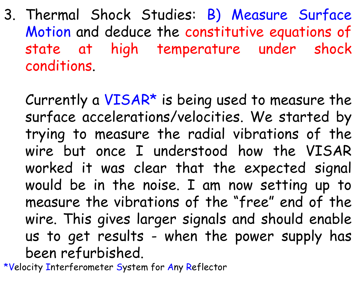3. Thermal Shock Studies: B) Measure Surface Motion and deduce the constitutive equations of state at high temperature under shock conditions.

Currently a  $VISAR*$  is being used to measure the surface accelerations/velocities. We started by trying to measure the radial vibrations of the wire but once I understood how the VISAR worked it was clear that the expected signal would be in the noise. I am now setting up to measure the vibrations of the "free" end of the wire. This gives larger signals and should enable us to get results - when the power supply has been refurbished.

\*Velocity Interferometer System for Any Reflector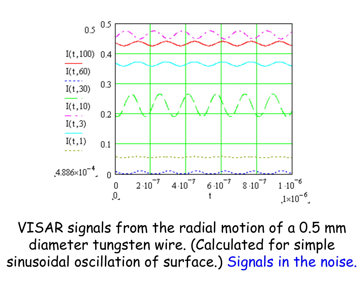

VISAR signals from the radial motion of a 0.5 mm diameter tungsten wire. (Calculated for simple sinusoidal oscillation of surface.) Signals in the noise.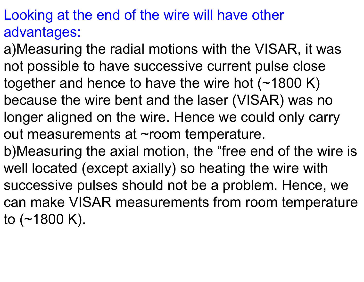#### Looking at the end of the wire will have other advantages:

- a)Measuring the radial motions with the VISAR, it was not possible to have successive current pulse close together and hence to have the wire hot (~1800 K) because the wire bent and the laser (VISAR) was no longer aligned on the wire. Hence we could only carry out measurements at ~room temperature.
- b)Measuring the axial motion, the "free end of the wire is well located (except axially) so heating the wire with successive pulses should not be a problem. Hence, we can make VISAR measurements from room temperature to  $(-1800 \text{ K})$ .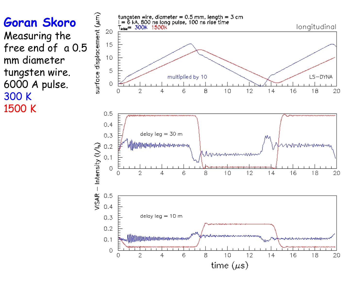**Goran Skoro** Measuring the free end of a 0.5 mm diameter tungsten wire. 6000 A pulse. 300 K 1500 K

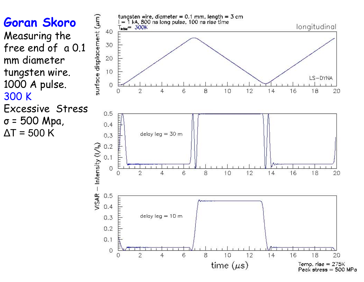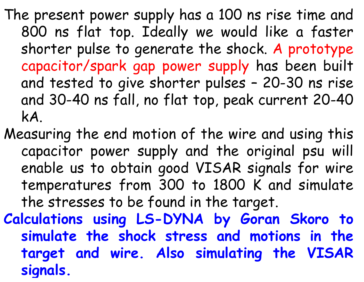The present power supply has a 100 ns rise time and 800 ns flat top. Ideally we would like a faster shorter pulse to generate the shock. A prototype capacitor/spark gap power supply has been built and tested to give shorter pulses – 20-30 ns rise and 30-40 ns fall, no flat top, peak current 20-40 kA.

Measuring the end motion of the wire and using this capacitor power supply and the original psu will enable us to obtain good VISAR signals for wire temperatures from 300 to 1800 K and simulate the stresses to be found in the target.

**Calculations using LS-DYNA by Goran Skoro to simulate the shock stress and motions in the target and wire. Also simulating the VISAR si gnals.**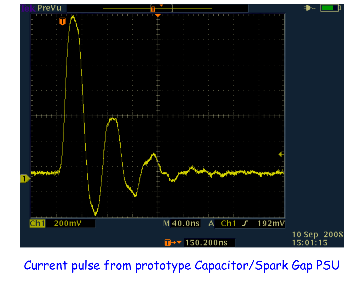

Current pulse from prototype Capacitor/Spark Gap PSU